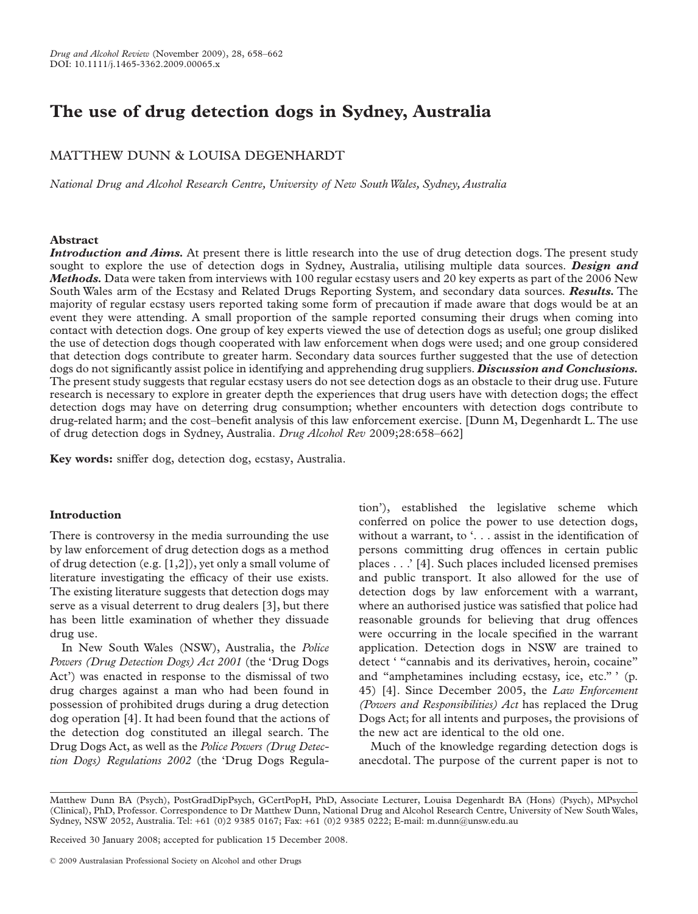# **The use of drug detection dogs in Sydney, Australia**

## MATTHEW DUNN & LOUISA DEGENHARDT

*National Drug and Alcohol Research Centre, University of New SouthWales, Sydney, Australia*

### **Abstract**

*Introduction and Aims.* At present there is little research into the use of drug detection dogs. The present study sought to explore the use of detection dogs in Sydney, Australia, utilising multiple data sources. *Design and Methods.* Data were taken from interviews with 100 regular ecstasy users and 20 key experts as part of the 2006 New South Wales arm of the Ecstasy and Related Drugs Reporting System, and secondary data sources. *Results.* The majority of regular ecstasy users reported taking some form of precaution if made aware that dogs would be at an event they were attending. A small proportion of the sample reported consuming their drugs when coming into contact with detection dogs. One group of key experts viewed the use of detection dogs as useful; one group disliked the use of detection dogs though cooperated with law enforcement when dogs were used; and one group considered that detection dogs contribute to greater harm. Secondary data sources further suggested that the use of detection dogs do not significantly assist police in identifying and apprehending drug suppliers. *Discussion and Conclusions.* The present study suggests that regular ecstasy users do not see detection dogs as an obstacle to their drug use. Future research is necessary to explore in greater depth the experiences that drug users have with detection dogs; the effect detection dogs may have on deterring drug consumption; whether encounters with detection dogs contribute to drug-related harm; and the cost–benefit analysis of this law enforcement exercise. [Dunn M, Degenhardt L.The use of drug detection dogs in Sydney, Australia. *Drug Alcohol Rev* 2009;28:658–662]

**Key words:** sniffer dog, detection dog, ecstasy, Australia.

## **Introduction**

There is controversy in the media surrounding the use by law enforcement of drug detection dogs as a method of drug detection (e.g. [1,2]), yet only a small volume of literature investigating the efficacy of their use exists. The existing literature suggests that detection dogs may serve as a visual deterrent to drug dealers [3], but there has been little examination of whether they dissuade drug use.

In New South Wales (NSW), Australia, the *Police Powers (Drug Detection Dogs) Act 2001* (the 'Drug Dogs Act') was enacted in response to the dismissal of two drug charges against a man who had been found in possession of prohibited drugs during a drug detection dog operation [4]. It had been found that the actions of the detection dog constituted an illegal search. The Drug Dogs Act, as well as the *Police Powers (Drug Detection Dogs) Regulations 2002* (the 'Drug Dogs Regula-

tion'), established the legislative scheme which conferred on police the power to use detection dogs, without a warrant, to '... assist in the identification of persons committing drug offences in certain public places . . .' [4]. Such places included licensed premises and public transport. It also allowed for the use of detection dogs by law enforcement with a warrant, where an authorised justice was satisfied that police had reasonable grounds for believing that drug offences were occurring in the locale specified in the warrant application. Detection dogs in NSW are trained to detect ' "cannabis and its derivatives, heroin, cocaine" and "amphetamines including ecstasy, ice, etc." ' (p. 45) [4]. Since December 2005, the *Law Enforcement (Powers and Responsibilities) Act* has replaced the Drug Dogs Act; for all intents and purposes, the provisions of the new act are identical to the old one.

Much of the knowledge regarding detection dogs is anecdotal. The purpose of the current paper is not to

Received 30 January 2008; accepted for publication 15 December 2008.

Matthew Dunn BA (Psych), PostGradDipPsych, GCertPopH, PhD, Associate Lecturer, Louisa Degenhardt BA (Hons) (Psych), MPsychol (Clinical), PhD, Professor. Correspondence to Dr Matthew Dunn, National Drug and Alcohol Research Centre, University of New SouthWales, Sydney, NSW 2052, Australia. Tel: +61 (0)2 9385 0167; Fax: +61 (0)2 9385 0222; E-mail: m.dunn@unsw.edu.au

<sup>© 2009</sup> Australasian Professional Society on Alcohol and other Drugs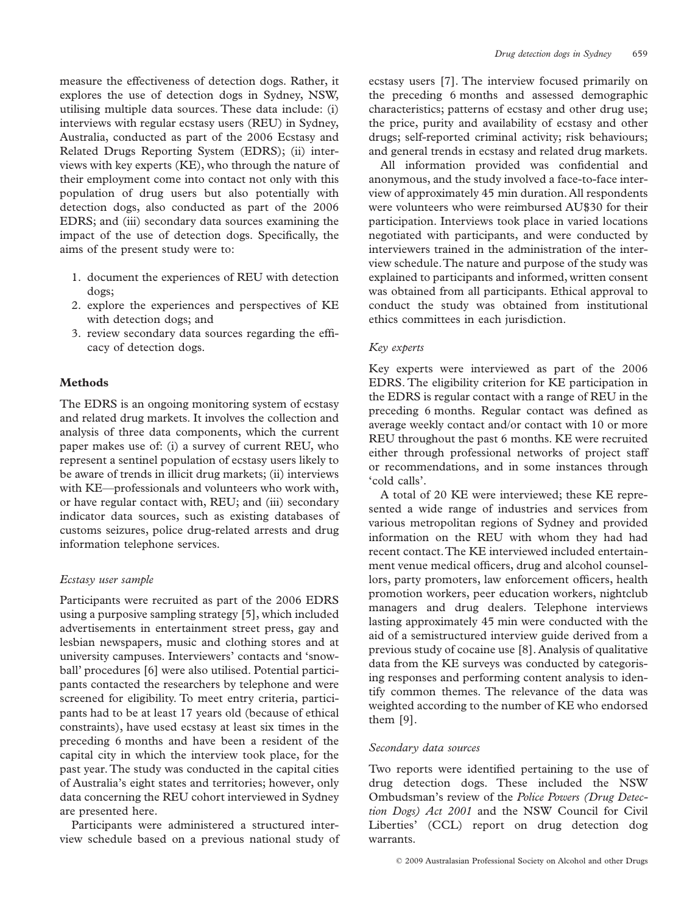measure the effectiveness of detection dogs. Rather, it explores the use of detection dogs in Sydney, NSW, utilising multiple data sources. These data include: (i) interviews with regular ecstasy users (REU) in Sydney, Australia, conducted as part of the 2006 Ecstasy and Related Drugs Reporting System (EDRS); (ii) interviews with key experts (KE), who through the nature of their employment come into contact not only with this population of drug users but also potentially with detection dogs, also conducted as part of the 2006 EDRS; and (iii) secondary data sources examining the impact of the use of detection dogs. Specifically, the aims of the present study were to:

- 1. document the experiences of REU with detection dogs;
- 2. explore the experiences and perspectives of KE with detection dogs; and
- 3. review secondary data sources regarding the efficacy of detection dogs.

## **Methods**

The EDRS is an ongoing monitoring system of ecstasy and related drug markets. It involves the collection and analysis of three data components, which the current paper makes use of: (i) a survey of current REU, who represent a sentinel population of ecstasy users likely to be aware of trends in illicit drug markets; (ii) interviews with KE––professionals and volunteers who work with, or have regular contact with, REU; and (iii) secondary indicator data sources, such as existing databases of customs seizures, police drug-related arrests and drug information telephone services.

## *Ecstasy user sample*

Participants were recruited as part of the 2006 EDRS using a purposive sampling strategy [5], which included advertisements in entertainment street press, gay and lesbian newspapers, music and clothing stores and at university campuses. Interviewers' contacts and 'snowball' procedures [6] were also utilised. Potential participants contacted the researchers by telephone and were screened for eligibility. To meet entry criteria, participants had to be at least 17 years old (because of ethical constraints), have used ecstasy at least six times in the preceding 6 months and have been a resident of the capital city in which the interview took place, for the past year. The study was conducted in the capital cities of Australia's eight states and territories; however, only data concerning the REU cohort interviewed in Sydney are presented here.

Participants were administered a structured interview schedule based on a previous national study of ecstasy users [7]. The interview focused primarily on the preceding 6 months and assessed demographic characteristics; patterns of ecstasy and other drug use; the price, purity and availability of ecstasy and other drugs; self-reported criminal activity; risk behaviours; and general trends in ecstasy and related drug markets.

All information provided was confidential and anonymous, and the study involved a face-to-face interview of approximately 45 min duration. All respondents were volunteers who were reimbursed AU\$30 for their participation. Interviews took place in varied locations negotiated with participants, and were conducted by interviewers trained in the administration of the interview schedule.The nature and purpose of the study was explained to participants and informed, written consent was obtained from all participants. Ethical approval to conduct the study was obtained from institutional ethics committees in each jurisdiction.

## *Key experts*

Key experts were interviewed as part of the 2006 EDRS. The eligibility criterion for KE participation in the EDRS is regular contact with a range of REU in the preceding 6 months. Regular contact was defined as average weekly contact and/or contact with 10 or more REU throughout the past 6 months. KE were recruited either through professional networks of project staff or recommendations, and in some instances through 'cold calls'.

A total of 20 KE were interviewed; these KE represented a wide range of industries and services from various metropolitan regions of Sydney and provided information on the REU with whom they had had recent contact.The KE interviewed included entertainment venue medical officers, drug and alcohol counsellors, party promoters, law enforcement officers, health promotion workers, peer education workers, nightclub managers and drug dealers. Telephone interviews lasting approximately 45 min were conducted with the aid of a semistructured interview guide derived from a previous study of cocaine use [8]. Analysis of qualitative data from the KE surveys was conducted by categorising responses and performing content analysis to identify common themes. The relevance of the data was weighted according to the number of KE who endorsed them [9].

## *Secondary data sources*

Two reports were identified pertaining to the use of drug detection dogs. These included the NSW Ombudsman's review of the *Police Powers (Drug Detection Dogs) Act 2001* and the NSW Council for Civil Liberties' (CCL) report on drug detection dog warrants.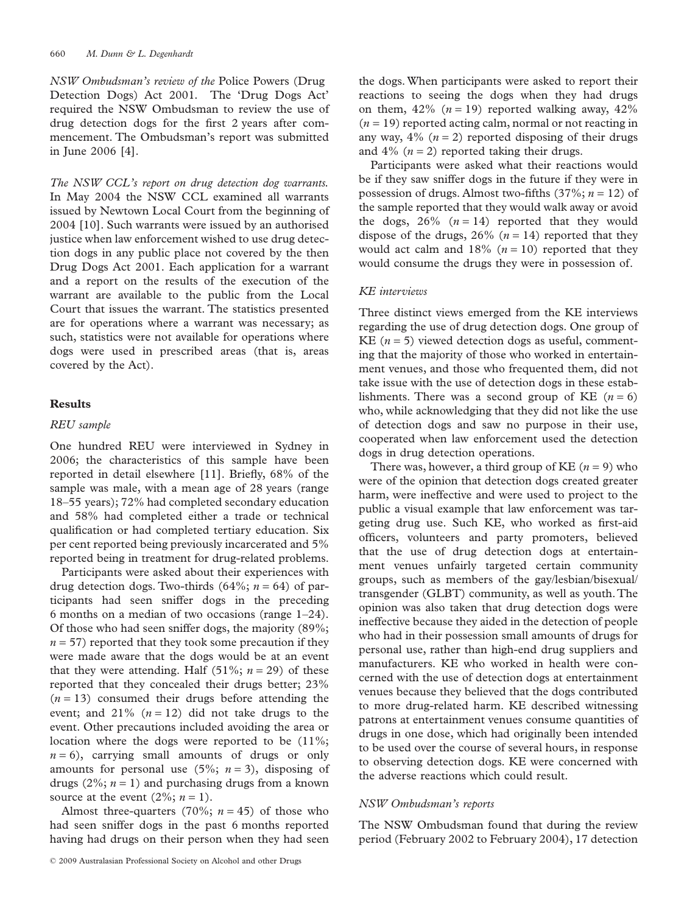*NSW Ombudsman's review of the* Police Powers (Drug Detection Dogs) Act 2001*.* The 'Drug Dogs Act' required the NSW Ombudsman to review the use of drug detection dogs for the first 2 years after commencement. The Ombudsman's report was submitted in June 2006 [4].

*The NSW CCL's report on drug detection dog warrants.* In May 2004 the NSW CCL examined all warrants issued by Newtown Local Court from the beginning of 2004 [10]. Such warrants were issued by an authorised justice when law enforcement wished to use drug detection dogs in any public place not covered by the then Drug Dogs Act 2001. Each application for a warrant and a report on the results of the execution of the warrant are available to the public from the Local Court that issues the warrant. The statistics presented are for operations where a warrant was necessary; as such, statistics were not available for operations where dogs were used in prescribed areas (that is, areas covered by the Act).

## **Results**

#### *REU sample*

One hundred REU were interviewed in Sydney in 2006; the characteristics of this sample have been reported in detail elsewhere [11]. Briefly, 68% of the sample was male, with a mean age of 28 years (range 18–55 years); 72% had completed secondary education and 58% had completed either a trade or technical qualification or had completed tertiary education. Six per cent reported being previously incarcerated and 5% reported being in treatment for drug-related problems.

Participants were asked about their experiences with drug detection dogs. Two-thirds  $(64\%; n = 64)$  of participants had seen sniffer dogs in the preceding 6 months on a median of two occasions (range 1–24). Of those who had seen sniffer dogs, the majority (89%;  $n = 57$ ) reported that they took some precaution if they were made aware that the dogs would be at an event that they were attending. Half  $(51\%; n = 29)$  of these reported that they concealed their drugs better; 23%  $(n = 13)$  consumed their drugs before attending the event; and  $21\%$   $(n = 12)$  did not take drugs to the event. Other precautions included avoiding the area or location where the dogs were reported to be (11%;  $n = 6$ , carrying small amounts of drugs or only amounts for personal use  $(5\%, n=3)$ , disposing of drugs  $(2\%; n = 1)$  and purchasing drugs from a known source at the event  $(2\%, n=1)$ .

Almost three-quarters (70%;  $n = 45$ ) of those who had seen sniffer dogs in the past 6 months reported having had drugs on their person when they had seen

the dogs.When participants were asked to report their reactions to seeing the dogs when they had drugs on them,  $42\%$  ( $n = 19$ ) reported walking away,  $42\%$  $(n = 19)$  reported acting calm, normal or not reacting in any way,  $4\%$  ( $n = 2$ ) reported disposing of their drugs and  $4\%$  ( $n = 2$ ) reported taking their drugs.

Participants were asked what their reactions would be if they saw sniffer dogs in the future if they were in possession of drugs. Almost two-fifths (37%; *n* = 12) of the sample reported that they would walk away or avoid the dogs,  $26\%$   $(n = 14)$  reported that they would dispose of the drugs,  $26\%$  ( $n = 14$ ) reported that they would act calm and  $18\%$  ( $n = 10$ ) reported that they would consume the drugs they were in possession of.

#### *KE interviews*

Three distinct views emerged from the KE interviews regarding the use of drug detection dogs. One group of KE  $(n = 5)$  viewed detection dogs as useful, commenting that the majority of those who worked in entertainment venues, and those who frequented them, did not take issue with the use of detection dogs in these establishments. There was a second group of KE  $(n = 6)$ who, while acknowledging that they did not like the use of detection dogs and saw no purpose in their use, cooperated when law enforcement used the detection dogs in drug detection operations.

There was, however, a third group of KE  $(n = 9)$  who were of the opinion that detection dogs created greater harm, were ineffective and were used to project to the public a visual example that law enforcement was targeting drug use. Such KE, who worked as first-aid officers, volunteers and party promoters, believed that the use of drug detection dogs at entertainment venues unfairly targeted certain community groups, such as members of the gay/lesbian/bisexual/ transgender (GLBT) community, as well as youth.The opinion was also taken that drug detection dogs were ineffective because they aided in the detection of people who had in their possession small amounts of drugs for personal use, rather than high-end drug suppliers and manufacturers. KE who worked in health were concerned with the use of detection dogs at entertainment venues because they believed that the dogs contributed to more drug-related harm. KE described witnessing patrons at entertainment venues consume quantities of drugs in one dose, which had originally been intended to be used over the course of several hours, in response to observing detection dogs. KE were concerned with the adverse reactions which could result.

## *NSW Ombudsman's reports*

The NSW Ombudsman found that during the review period (February 2002 to February 2004), 17 detection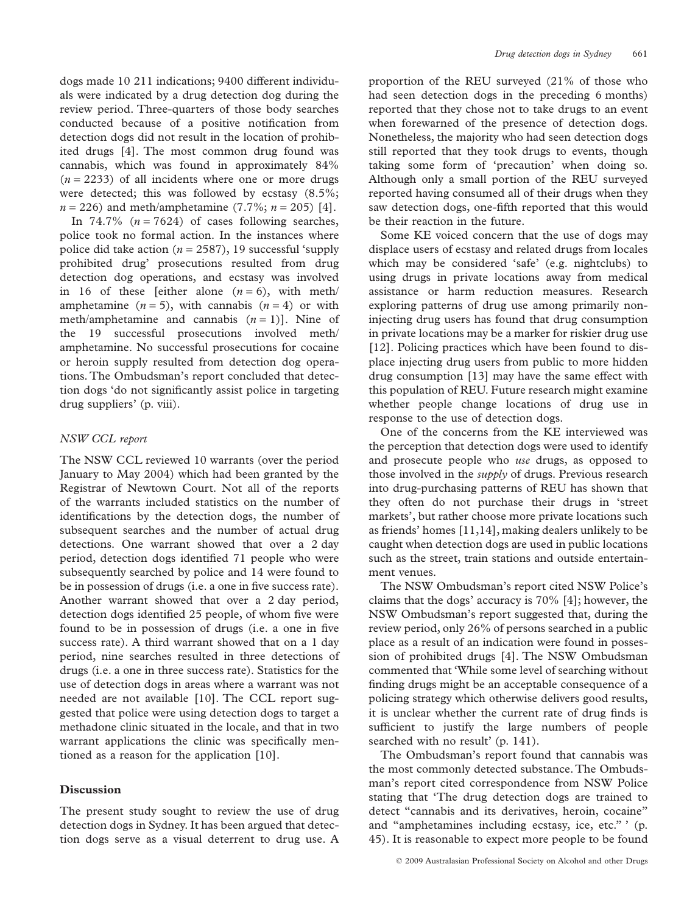dogs made 10 211 indications; 9400 different individuals were indicated by a drug detection dog during the review period. Three-quarters of those body searches conducted because of a positive notification from detection dogs did not result in the location of prohibited drugs [4]. The most common drug found was cannabis, which was found in approximately 84%  $(n = 2233)$  of all incidents where one or more drugs were detected; this was followed by ecstasy (8.5%;  $n = 226$ ) and meth/amphetamine (7.7%;  $n = 205$ ) [4].

In 74.7%  $(n = 7624)$  of cases following searches, police took no formal action. In the instances where police did take action  $(n = 2587)$ , 19 successful 'supply prohibited drug' prosecutions resulted from drug detection dog operations, and ecstasy was involved in 16 of these [either alone  $(n=6)$ , with meth/ amphetamine  $(n = 5)$ , with cannabis  $(n = 4)$  or with meth/amphetamine and cannabis  $(n = 1)$ ]. Nine of the 19 successful prosecutions involved meth/ amphetamine. No successful prosecutions for cocaine or heroin supply resulted from detection dog operations. The Ombudsman's report concluded that detection dogs 'do not significantly assist police in targeting drug suppliers' (p. viii).

## *NSW CCL report*

The NSW CCL reviewed 10 warrants (over the period January to May 2004) which had been granted by the Registrar of Newtown Court. Not all of the reports of the warrants included statistics on the number of identifications by the detection dogs, the number of subsequent searches and the number of actual drug detections. One warrant showed that over a 2 day period, detection dogs identified 71 people who were subsequently searched by police and 14 were found to be in possession of drugs (i.e. a one in five success rate). Another warrant showed that over a 2 day period, detection dogs identified 25 people, of whom five were found to be in possession of drugs (i.e. a one in five success rate). A third warrant showed that on a 1 day period, nine searches resulted in three detections of drugs (i.e. a one in three success rate). Statistics for the use of detection dogs in areas where a warrant was not needed are not available [10]. The CCL report suggested that police were using detection dogs to target a methadone clinic situated in the locale, and that in two warrant applications the clinic was specifically mentioned as a reason for the application [10].

## **Discussion**

The present study sought to review the use of drug detection dogs in Sydney. It has been argued that detection dogs serve as a visual deterrent to drug use. A

proportion of the REU surveyed (21% of those who had seen detection dogs in the preceding 6 months) reported that they chose not to take drugs to an event when forewarned of the presence of detection dogs. Nonetheless, the majority who had seen detection dogs still reported that they took drugs to events, though taking some form of 'precaution' when doing so. Although only a small portion of the REU surveyed reported having consumed all of their drugs when they saw detection dogs, one-fifth reported that this would be their reaction in the future.

Some KE voiced concern that the use of dogs may displace users of ecstasy and related drugs from locales which may be considered 'safe' (e.g. nightclubs) to using drugs in private locations away from medical assistance or harm reduction measures. Research exploring patterns of drug use among primarily noninjecting drug users has found that drug consumption in private locations may be a marker for riskier drug use [12]. Policing practices which have been found to displace injecting drug users from public to more hidden drug consumption [13] may have the same effect with this population of REU. Future research might examine whether people change locations of drug use in response to the use of detection dogs.

One of the concerns from the KE interviewed was the perception that detection dogs were used to identify and prosecute people who *use* drugs, as opposed to those involved in the *supply* of drugs. Previous research into drug-purchasing patterns of REU has shown that they often do not purchase their drugs in 'street markets', but rather choose more private locations such as friends' homes [11,14], making dealers unlikely to be caught when detection dogs are used in public locations such as the street, train stations and outside entertainment venues.

The NSW Ombudsman's report cited NSW Police's claims that the dogs' accuracy is 70% [4]; however, the NSW Ombudsman's report suggested that, during the review period, only 26% of persons searched in a public place as a result of an indication were found in possession of prohibited drugs [4]. The NSW Ombudsman commented that 'While some level of searching without finding drugs might be an acceptable consequence of a policing strategy which otherwise delivers good results, it is unclear whether the current rate of drug finds is sufficient to justify the large numbers of people searched with no result' (p. 141).

The Ombudsman's report found that cannabis was the most commonly detected substance. The Ombudsman's report cited correspondence from NSW Police stating that 'The drug detection dogs are trained to detect "cannabis and its derivatives, heroin, cocaine" and "amphetamines including ecstasy, ice, etc." ' (p. 45). It is reasonable to expect more people to be found